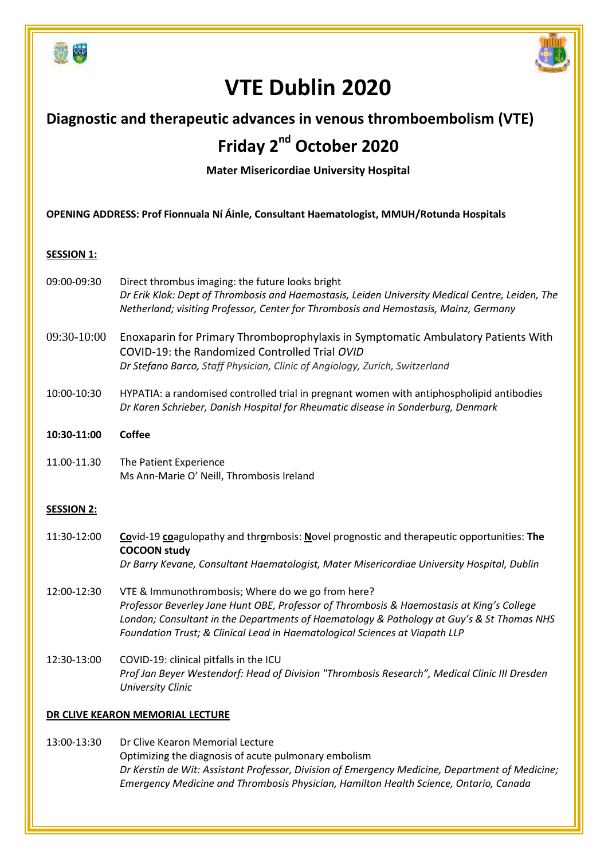



# **VTE Dublin 2020**

## **Diagnostic and therapeutic advances in venous thromboembolism (VTE)**

# **Friday 2 nd October 2020**

**Mater Misericordiae University Hospital** 

**OPENING ADDRESS: Prof Fionnuala Ní Áinle, Consultant Haematologist, MMUH/Rotunda Hospitals** 

### **SESSION 1:**

- 09:00-09:30 Direct thrombus imaging: the future looks bright *Dr Erik Klok: Dept of Thrombosis and Haemostasis, Leiden University Medical Centre, Leiden, The Netherland; visiting Professor, Center for Thrombosis and Hemostasis, Mainz, Germany*
- 09:30-10:00 Enoxaparin for Primary Thromboprophylaxis in Symptomatic Ambulatory Patients With COVID-19: the Randomized Controlled Trial *OVID Dr Stefano Barco, Staff Physician, Clinic of Angiology, Zurich, Switzerland*
- 10:00-10:30 HYPATIA: a randomised controlled trial in pregnant women with antiphospholipid antibodies *Dr Karen Schrieber, Danish Hospital for Rheumatic disease in Sonderburg, Denmark*

### **10:30-11:00 Coffee**

11.00-11.30 The Patient Experience Ms Ann-Marie O' Neill, Thrombosis Ireland

### **SESSION 2:**

- 11:30-12:00 **Co**vid-19 **co**agulopathy and thr**o**mbosis: **N**ovel prognostic and therapeutic opportunities: **The COCOON study** *Dr Barry Kevane, Consultant Haematologist, Mater Misericordiae University Hospital, Dublin*
- 12:00-12:30 VTE & Immunothrombosis; Where do we go from here? *Professor Beverley Jane Hunt OBE, Professor of Thrombosis & Haemostasis at King's College London; Consultant in the Departments of Haematology & Pathology at Guy's & St Thomas NHS Foundation Trust; & Clinical Lead in Haematological Sciences at Viapath LLP*
- 12:30-13:00 COVID-19: clinical pitfalls in the ICU *Prof Jan Beyer Westendorf: Head of Division "Thrombosis Research", Medical Clinic III Dresden University Clinic*

### **DR CLIVE KEARON MEMORIAL LECTURE**

13:00-13:30 Dr Clive Kearon Memorial Lecture Optimizing the diagnosis of acute pulmonary embolism *Dr Kerstin de Wit: Assistant Professor, Division of Emergency Medicine, Department of Medicine; Emergency Medicine and Thrombosis Physician, Hamilton Health Science, Ontario, Canada*